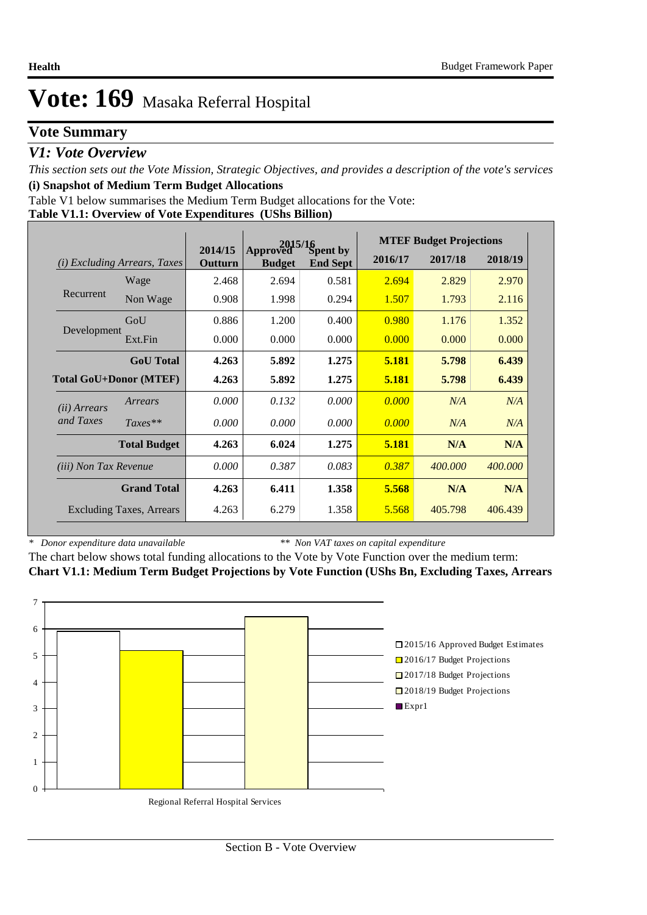# **Vote Summary**

### *V1: Vote Overview*

*This section sets out the Vote Mission, Strategic Objectives, and provides a description of the vote's services* **(i) Snapshot of Medium Term Budget Allocations** 

Table V1 below summarises the Medium Term Budget allocations for the Vote:

**Table V1.1: Overview of Vote Expenditures (UShs Billion)**

|                               |                                 | 2015/16            |                           |                                    |         | <b>MTEF Budget Projections</b> |         |
|-------------------------------|---------------------------------|--------------------|---------------------------|------------------------------------|---------|--------------------------------|---------|
| (i)                           | <i>Excluding Arrears, Taxes</i> | 2014/15<br>Outturn | Approved<br><b>Budget</b> | <b>Spent by</b><br><b>End Sept</b> | 2016/17 | 2017/18                        | 2018/19 |
|                               | Wage                            | 2.468              | 2.694                     | 0.581                              | 2.694   | 2.829                          | 2.970   |
| Recurrent                     | Non Wage                        | 0.908              | 1.998                     | 0.294                              | 1.507   | 1.793                          | 2.116   |
|                               | GoU                             | 0.886              | 1.200                     | 0.400                              | 0.980   | 1.176                          | 1.352   |
| Development                   | Ext.Fin                         | 0.000              | 0.000                     | 0.000                              | 0.000   | 0.000                          | 0.000   |
|                               | <b>GoU</b> Total                | 4.263              | 5.892                     | 1.275                              | 5.181   | 5.798                          | 6.439   |
| <b>Total GoU+Donor (MTEF)</b> |                                 | 4.263              | 5.892                     | 1.275                              | 5.181   | 5.798                          | 6.439   |
| ( <i>ii</i> ) Arrears         | Arrears                         | 0.000              | 0.132                     | 0.000                              | 0.000   | N/A                            | N/A     |
| and Taxes                     | $Taxes**$                       | 0.000              | 0.000                     | 0.000                              | 0.000   | N/A                            | N/A     |
|                               | <b>Total Budget</b>             | 4.263              | 6.024                     | 1.275                              | 5.181   | N/A                            | N/A     |
| <i>(iii)</i> Non Tax Revenue  |                                 | 0.000              | 0.387                     | 0.083                              | 0.387   | 400,000                        | 400,000 |
|                               | <b>Grand Total</b>              | 4.263              | 6.411                     | 1.358                              | 5.568   | N/A                            | N/A     |
|                               | <b>Excluding Taxes, Arrears</b> | 4.263              | 6.279                     | 1.358                              | 5.568   | 405.798                        | 406.439 |

*\* Donor expenditure data unavailable*

*\*\* Non VAT taxes on capital expenditure*

The chart below shows total funding allocations to the Vote by Vote Function over the medium term: **Chart V1.1: Medium Term Budget Projections by Vote Function (UShs Bn, Excluding Taxes, Arrears**

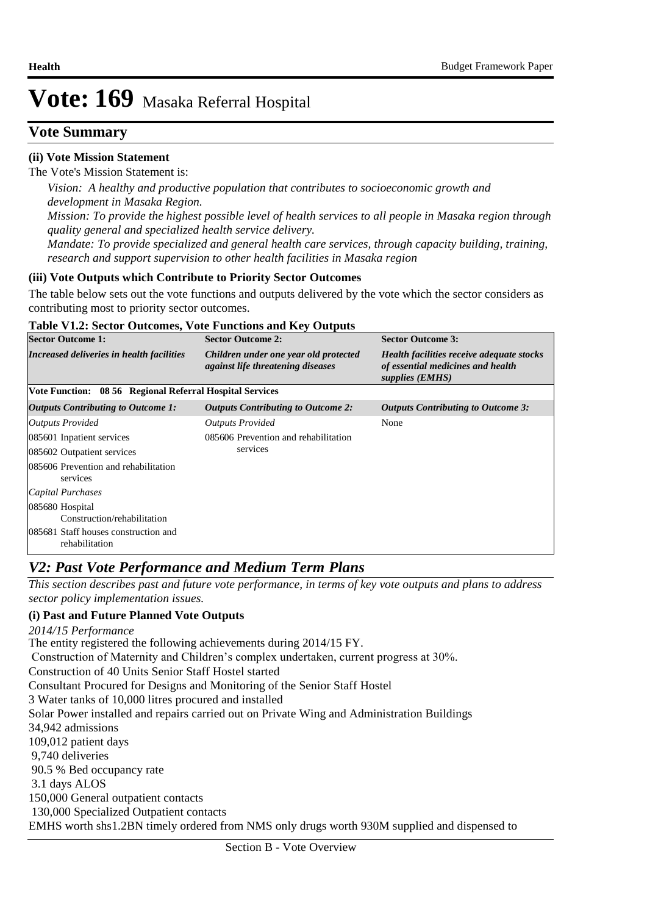# **Vote Summary**

### **(ii) Vote Mission Statement**

The Vote's Mission Statement is:

*Vision: A healthy and productive population that contributes to socioeconomic growth and development in Masaka Region. Mission: To provide the highest possible level of health services to all people in Masaka region through quality general and specialized health service delivery. Mandate: To provide specialized and general health care services, through capacity building, training, research and support supervision to other health facilities in Masaka region*

### **(iii) Vote Outputs which Contribute to Priority Sector Outcomes**

The table below sets out the vote functions and outputs delivered by the vote which the sector considers as contributing most to priority sector outcomes.

#### **Table V1.2: Sector Outcomes, Vote Functions and Key Outputs**

| <b>Sector Outcome 1:</b>                                 | <b>Sector Outcome 2:</b>                                                          | <b>Sector Outcome 3:</b>                                                                          |  |  |
|----------------------------------------------------------|-----------------------------------------------------------------------------------|---------------------------------------------------------------------------------------------------|--|--|
| Increased deliveries in health facilities                | Children under one year old protected<br><i>against life threatening diseases</i> | Health facilities receive adequate stocks<br>of essential medicines and health<br>supplies (EMHS) |  |  |
| Vote Function: 08 56 Regional Referral Hospital Services |                                                                                   |                                                                                                   |  |  |
| Outputs Contributing to Outcome 1:                       | <b>Outputs Contributing to Outcome 2:</b>                                         | <b>Outputs Contributing to Outcome 3:</b>                                                         |  |  |
| <b>Outputs Provided</b>                                  | <b>Outputs Provided</b>                                                           | None                                                                                              |  |  |
| 085601 Inpatient services                                | 085606 Prevention and rehabilitation                                              |                                                                                                   |  |  |
| 085602 Outpatient services                               | services                                                                          |                                                                                                   |  |  |
| 085606 Prevention and rehabilitation<br>services         |                                                                                   |                                                                                                   |  |  |
| Capital Purchases                                        |                                                                                   |                                                                                                   |  |  |
| 085680 Hospital<br>Construction/rehabilitation           |                                                                                   |                                                                                                   |  |  |
| 085681 Staff houses construction and<br>rehabilitation   |                                                                                   |                                                                                                   |  |  |

### *V2: Past Vote Performance and Medium Term Plans*

*This section describes past and future vote performance, in terms of key vote outputs and plans to address sector policy implementation issues.* 

#### **(i) Past and Future Planned Vote Outputs**

The entity registered the following achievements during 2014/15 FY. Construction of Maternity and Children's complex undertaken, current progress at 30%. Construction of 40 Units Senior Staff Hostel started Consultant Procured for Designs and Monitoring of the Senior Staff Hostel 3 Water tanks of 10,000 litres procured and installed Solar Power installed and repairs carried out on Private Wing and Administration Buildings 34,942 admissions 109,012 patient days 9,740 deliveries 90.5 % Bed occupancy rate 3.1 days ALOS 150,000 General outpatient contacts 130,000 Specialized Outpatient contacts EMHS worth shs1.2BN timely ordered from NMS only drugs worth 930M supplied and dispensed to *2014/15 Performance*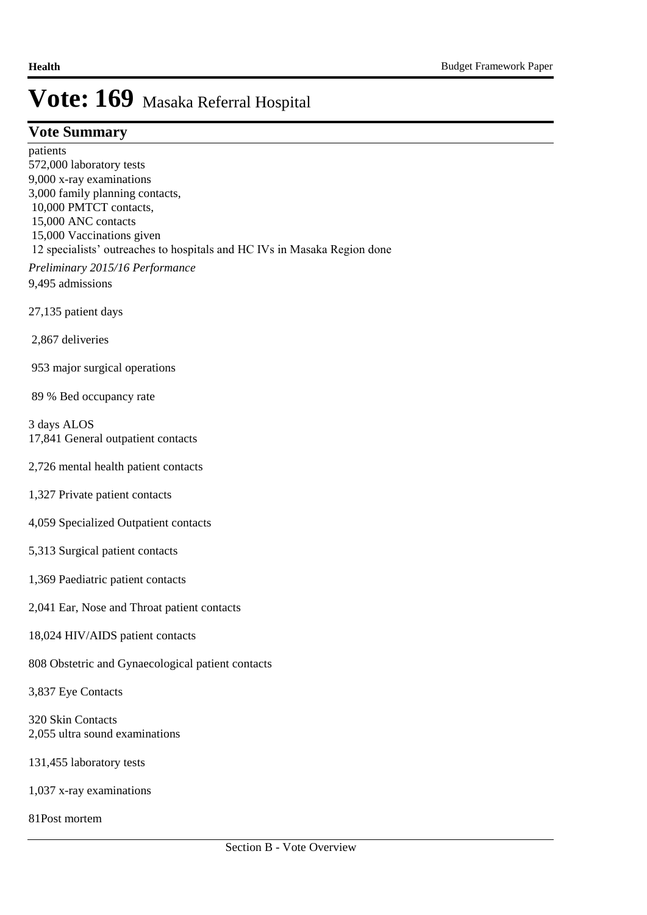### **Vote Summary**

patients 572,000 laboratory tests 9,000 x-ray examinations 3,000 family planning contacts, 10,000 PMTCT contacts, 15,000 ANC contacts 15,000 Vaccinations given 12 specialists' outreaches to hospitals and HC IVs in Masaka Region done *Preliminary 2015/16 Performance*

9,495 admissions

27,135 patient days

2,867 deliveries

953 major surgical operations

89 % Bed occupancy rate

3 days ALOS 17,841 General outpatient contacts

- 2,726 mental health patient contacts
- 1,327 Private patient contacts
- 4,059 Specialized Outpatient contacts
- 5,313 Surgical patient contacts
- 1,369 Paediatric patient contacts
- 2,041 Ear, Nose and Throat patient contacts
- 18,024 HIV/AIDS patient contacts
- 808 Obstetric and Gynaecological patient contacts

3,837 Eye Contacts

320 Skin Contacts 2,055 ultra sound examinations

131,455 laboratory tests

1,037 x-ray examinations

81Post mortem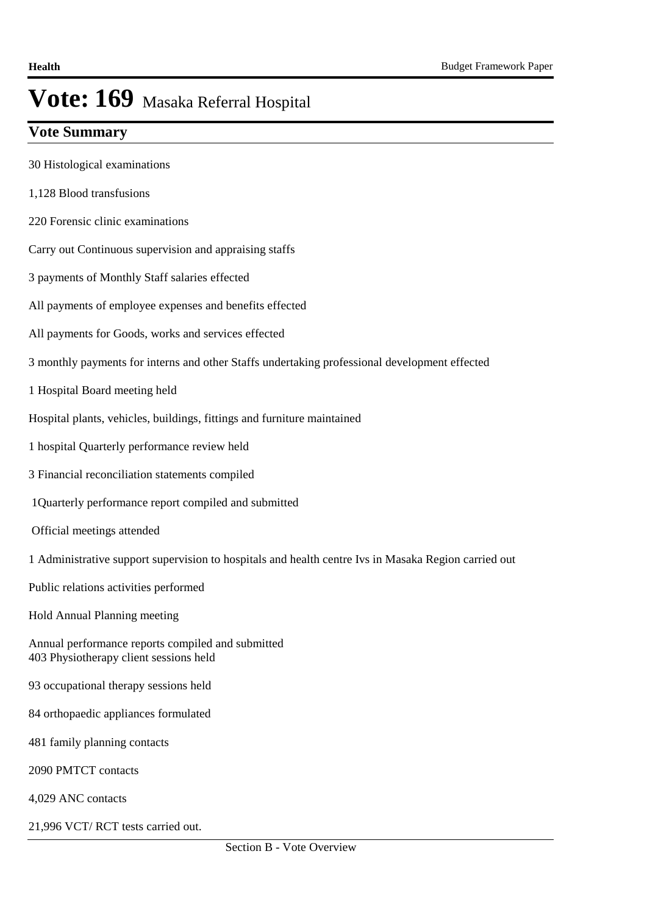# **Vote Summary**

- 30 Histological examinations
- 1,128 Blood transfusions
- 220 Forensic clinic examinations
- Carry out Continuous supervision and appraising staffs
- 3 payments of Monthly Staff salaries effected
- All payments of employee expenses and benefits effected
- All payments for Goods, works and services effected
- 3 monthly payments for interns and other Staffs undertaking professional development effected
- 1 Hospital Board meeting held
- Hospital plants, vehicles, buildings, fittings and furniture maintained
- 1 hospital Quarterly performance review held
- 3 Financial reconciliation statements compiled
- 1Quarterly performance report compiled and submitted
- Official meetings attended
- 1 Administrative support supervision to hospitals and health centre Ivs in Masaka Region carried out
- Public relations activities performed
- Hold Annual Planning meeting
- Annual performance reports compiled and submitted 403 Physiotherapy client sessions held
- 93 occupational therapy sessions held
- 84 orthopaedic appliances formulated
- 481 family planning contacts
- 2090 PMTCT contacts
- 4,029 ANC contacts
- 21,996 VCT/ RCT tests carried out.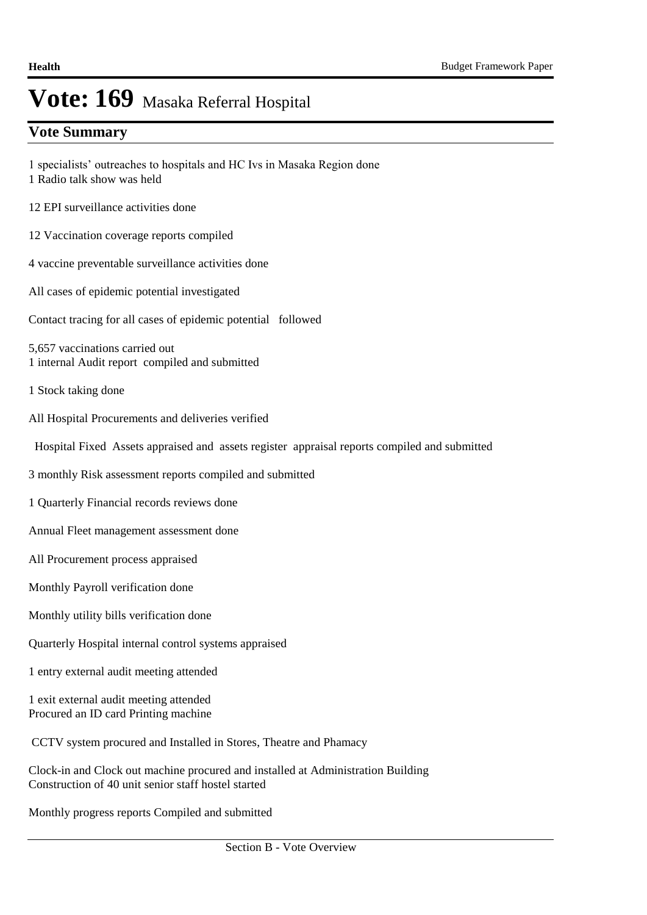# **Vote Summary**

- 1 specialists' outreaches to hospitals and HC Ivs in Masaka Region done 1 Radio talk show was held
- 12 EPI surveillance activities done
- 12 Vaccination coverage reports compiled
- 4 vaccine preventable surveillance activities done
- All cases of epidemic potential investigated
- Contact tracing for all cases of epidemic potential followed

5,657 vaccinations carried out 1 internal Audit report compiled and submitted

- 1 Stock taking done
- All Hospital Procurements and deliveries verified
- Hospital Fixed Assets appraised and assets register appraisal reports compiled and submitted
- 3 monthly Risk assessment reports compiled and submitted
- 1 Quarterly Financial records reviews done
- Annual Fleet management assessment done
- All Procurement process appraised
- Monthly Payroll verification done
- Monthly utility bills verification done
- Quarterly Hospital internal control systems appraised
- 1 entry external audit meeting attended

1 exit external audit meeting attended Procured an ID card Printing machine

CCTV system procured and Installed in Stores, Theatre and Phamacy

Clock-in and Clock out machine procured and installed at Administration Building Construction of 40 unit senior staff hostel started

Monthly progress reports Compiled and submitted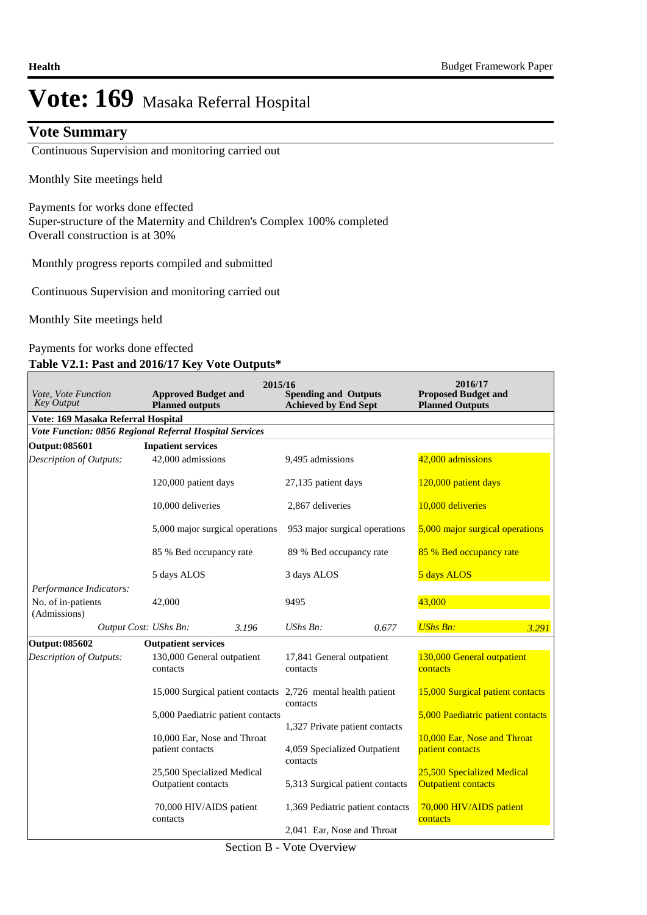### **Vote Summary**

Continuous Supervision and monitoring carried out

Monthly Site meetings held

Payments for works done effected Super-structure of the Maternity and Children's Complex 100% completed Overall construction is at 30%

Monthly progress reports compiled and submitted

Continuous Supervision and monitoring carried out

Monthly Site meetings held

### Payments for works done effected

#### **Table V2.1: Past and 2016/17 Key Vote Outputs\***

| Vote, Vote Function<br><b>Key Output</b>                      | 2015/16<br><b>Approved Budget and</b><br><b>Planned outputs</b> | <b>Spending and Outputs</b><br><b>Achieved by End Sept</b> | 2016/17<br><b>Proposed Budget and</b><br><b>Planned Outputs</b> |  |  |
|---------------------------------------------------------------|-----------------------------------------------------------------|------------------------------------------------------------|-----------------------------------------------------------------|--|--|
| Vote: 169 Masaka Referral Hospital                            |                                                                 |                                                            |                                                                 |  |  |
|                                                               | Vote Function: 0856 Regional Referral Hospital Services         |                                                            |                                                                 |  |  |
| Output: 085601                                                | <b>Inpatient services</b>                                       |                                                            |                                                                 |  |  |
| Description of Outputs:                                       | 42,000 admissions                                               | 9,495 admissions                                           | 42,000 admissions                                               |  |  |
|                                                               | 120,000 patient days                                            | 27,135 patient days                                        | 120,000 patient days                                            |  |  |
|                                                               | 10,000 deliveries                                               | 2,867 deliveries                                           | 10,000 deliveries                                               |  |  |
|                                                               | 5,000 major surgical operations                                 | 953 major surgical operations                              | 5,000 major surgical operations                                 |  |  |
| 85 % Bed occupancy rate                                       |                                                                 | 89 % Bed occupancy rate                                    | 85 % Bed occupancy rate                                         |  |  |
|                                                               | 5 days ALOS                                                     | 3 days ALOS                                                | 5 days ALOS                                                     |  |  |
| Performance Indicators:<br>No. of in-patients<br>(Admissions) | 42,000                                                          | 9495                                                       | 43,000                                                          |  |  |
|                                                               | Output Cost: UShs Bn:<br>3.196                                  | $UShs Bn$ :<br>0.677                                       | <b>UShs Bn:</b><br>3.291                                        |  |  |
| Output: 085602                                                | <b>Outpatient services</b>                                      |                                                            |                                                                 |  |  |
| <b>Description of Outputs:</b>                                | 130,000 General outpatient<br>contacts                          | 17,841 General outpatient<br>contacts                      | 130,000 General outpatient<br>contacts                          |  |  |
|                                                               | 15,000 Surgical patient contacts 2,726 mental health patient    | contacts                                                   | 15,000 Surgical patient contacts                                |  |  |
|                                                               | 5,000 Paediatric patient contacts                               | 1,327 Private patient contacts                             | 5,000 Paediatric patient contacts                               |  |  |
|                                                               | 10,000 Ear, Nose and Throat<br>patient contacts                 | 4,059 Specialized Outpatient<br>contacts                   | 10,000 Ear, Nose and Throat<br>patient contacts                 |  |  |
|                                                               | 25,500 Specialized Medical<br>Outpatient contacts               | 5,313 Surgical patient contacts                            | 25,500 Specialized Medical<br><b>Outpatient contacts</b>        |  |  |
|                                                               | 70,000 HIV/AIDS patient<br>contacts                             | 1,369 Pediatric patient contacts                           | 70,000 HIV/AIDS patient<br>contacts                             |  |  |
|                                                               |                                                                 | 2,041 Ear, Nose and Throat                                 |                                                                 |  |  |

Section B - Vote Overview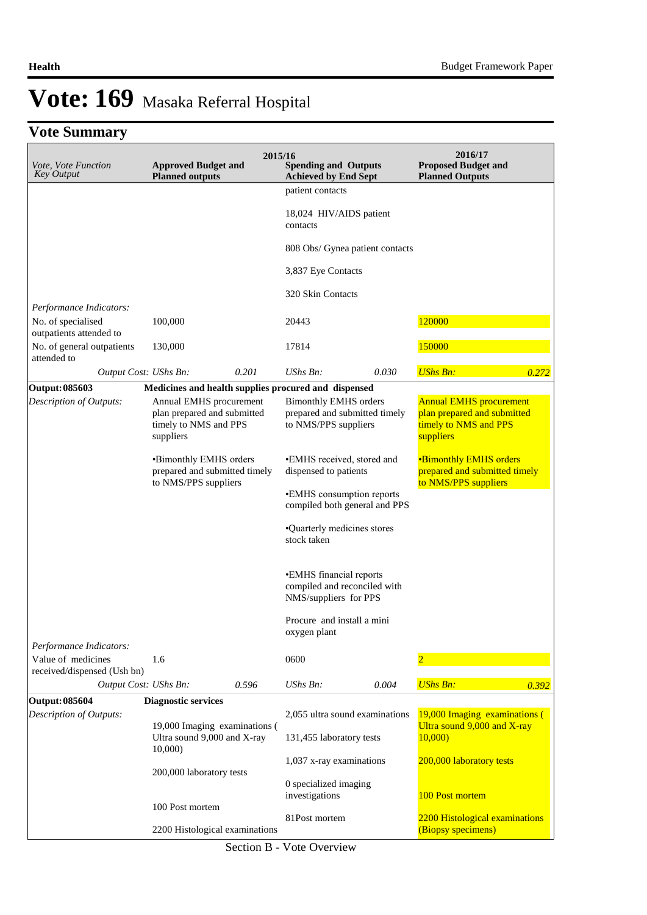# **Vote Summary**

| Vote, Vote Function<br><b>Key Output</b>                                                                                | <b>Approved Budget and</b><br><b>Planned outputs</b>                            | 2015/16 | <b>Spending and Outputs</b><br><b>Achieved by End Sept</b>                            |                                 | 2016/17<br><b>Proposed Budget and</b><br><b>Planned Outputs</b>                                     |       |
|-------------------------------------------------------------------------------------------------------------------------|---------------------------------------------------------------------------------|---------|---------------------------------------------------------------------------------------|---------------------------------|-----------------------------------------------------------------------------------------------------|-------|
|                                                                                                                         |                                                                                 |         | patient contacts                                                                      |                                 |                                                                                                     |       |
|                                                                                                                         |                                                                                 |         | 18,024 HIV/AIDS patient<br>contacts                                                   |                                 |                                                                                                     |       |
|                                                                                                                         |                                                                                 |         |                                                                                       | 808 Obs/ Gynea patient contacts |                                                                                                     |       |
|                                                                                                                         |                                                                                 |         | 3,837 Eye Contacts                                                                    |                                 |                                                                                                     |       |
|                                                                                                                         |                                                                                 |         | 320 Skin Contacts                                                                     |                                 |                                                                                                     |       |
| Performance Indicators:                                                                                                 |                                                                                 |         |                                                                                       |                                 |                                                                                                     |       |
| No. of specialised<br>outpatients attended to                                                                           | 100,000                                                                         |         | 20443                                                                                 |                                 | 120000                                                                                              |       |
| No. of general outpatients<br>attended to                                                                               | 130,000                                                                         |         | 17814                                                                                 |                                 | 150000                                                                                              |       |
| Output Cost: UShs Bn:                                                                                                   |                                                                                 | 0.201   | $UShs Bn$ :                                                                           | 0.030                           | <b>UShs Bn:</b>                                                                                     | 0.272 |
| <b>Output: 085603</b>                                                                                                   | Medicines and health supplies procured and dispensed                            |         |                                                                                       |                                 |                                                                                                     |       |
| Description of Outputs:<br>Annual EMHS procurement<br>plan prepared and submitted<br>timely to NMS and PPS<br>suppliers |                                                                                 |         | <b>Bimonthly EMHS orders</b><br>prepared and submitted timely<br>to NMS/PPS suppliers |                                 | <b>Annual EMHS procurement</b><br>plan prepared and submitted<br>timely to NMS and PPS<br>suppliers |       |
|                                                                                                                         | •Bimonthly EMHS orders<br>prepared and submitted timely<br>to NMS/PPS suppliers |         | •EMHS received, stored and<br>dispensed to patients                                   |                                 | <b>•Bimonthly EMHS orders</b><br>prepared and submitted timely<br>to NMS/PPS suppliers              |       |
|                                                                                                                         |                                                                                 |         | •EMHS consumption reports<br>compiled both general and PPS                            |                                 |                                                                                                     |       |
|                                                                                                                         |                                                                                 |         | •Quarterly medicines stores<br>stock taken                                            |                                 |                                                                                                     |       |
|                                                                                                                         |                                                                                 |         | •EMHS financial reports<br>compiled and reconciled with<br>NMS/suppliers for PPS      |                                 |                                                                                                     |       |
|                                                                                                                         |                                                                                 |         | Procure and install a mini<br>oxygen plant                                            |                                 |                                                                                                     |       |
| Performance Indicators:                                                                                                 |                                                                                 |         |                                                                                       |                                 |                                                                                                     |       |
| Value of medicines<br>received/dispensed (Ush bn)                                                                       | 1.6                                                                             |         | 0600                                                                                  |                                 | $\overline{2}$                                                                                      |       |
| Output Cost: UShs Bn:                                                                                                   |                                                                                 | 0.596   | UShs Bn:                                                                              | 0.004                           | <b>UShs Bn:</b>                                                                                     | 0.392 |
| <b>Output: 085604</b>                                                                                                   | <b>Diagnostic services</b>                                                      |         |                                                                                       |                                 |                                                                                                     |       |
| Description of Outputs:                                                                                                 | 19,000 Imaging examinations (                                                   |         | 2,055 ultra sound examinations                                                        |                                 | 19,000 Imaging examinations (<br>Ultra sound 9,000 and X-ray                                        |       |
|                                                                                                                         | Ultra sound 9,000 and X-ray<br>10,000                                           |         | 131,455 laboratory tests                                                              |                                 | 10,000                                                                                              |       |
|                                                                                                                         | 200,000 laboratory tests                                                        |         | 1,037 x-ray examinations                                                              |                                 | 200,000 laboratory tests                                                                            |       |
|                                                                                                                         |                                                                                 |         | 0 specialized imaging<br>investigations                                               |                                 | 100 Post mortem                                                                                     |       |
|                                                                                                                         | 100 Post mortem                                                                 |         |                                                                                       |                                 |                                                                                                     |       |
|                                                                                                                         | 2200 Histological examinations                                                  |         | 81Post mortem                                                                         |                                 | 2200 Histological examinations<br>(Biopsy specimens)                                                |       |

Section B - Vote Overview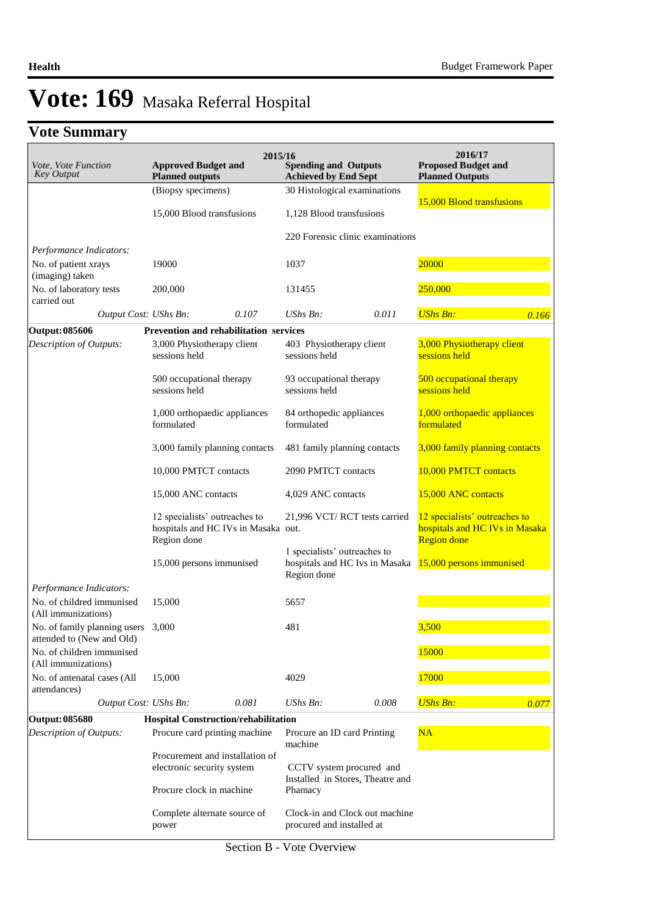# **Vote Summary**

| Vote, Vote Function<br>Key Output                               | <b>Approved Budget and</b><br><b>Planned outputs</b>                                | 2015/16<br><b>Spending and Outputs</b><br><b>Achieved by End Sept</b>         | 2016/17<br><b>Proposed Budget and</b><br><b>Planned Outputs</b>                       |
|-----------------------------------------------------------------|-------------------------------------------------------------------------------------|-------------------------------------------------------------------------------|---------------------------------------------------------------------------------------|
|                                                                 | (Biopsy specimens)                                                                  | 30 Histological examinations                                                  |                                                                                       |
|                                                                 | 15,000 Blood transfusions                                                           | 1,128 Blood transfusions                                                      | 15,000 Blood transfusions                                                             |
|                                                                 |                                                                                     | 220 Forensic clinic examinations                                              |                                                                                       |
| Performance Indicators:<br>No. of patient xrays                 | 19000                                                                               | 1037                                                                          | 20000                                                                                 |
| (imaging) taken                                                 |                                                                                     |                                                                               |                                                                                       |
| No. of laboratory tests<br>carried out                          | 200,000                                                                             | 131455                                                                        | 250,000                                                                               |
| Output Cost: UShs Bn:                                           | 0.107                                                                               | $UShs Bn$ :<br>0.011                                                          | <b>UShs Bn:</b><br>0.166                                                              |
| Output: 085606                                                  | <b>Prevention and rehabilitation services</b>                                       |                                                                               |                                                                                       |
| Description of Outputs:                                         | 3,000 Physiotherapy client<br>sessions held                                         | 403 Physiotherapy client<br>sessions held                                     | 3,000 Physiotherapy client<br>sessions held                                           |
|                                                                 | 500 occupational therapy<br>sessions held                                           | 93 occupational therapy<br>sessions held                                      | 500 occupational therapy<br>sessions held                                             |
|                                                                 | 1,000 orthopaedic appliances<br>formulated                                          | 84 orthopedic appliances<br>formulated                                        | 1,000 orthopaedic appliances<br>formulated                                            |
|                                                                 | 3,000 family planning contacts                                                      | 481 family planning contacts                                                  | 3,000 family planning contacts                                                        |
|                                                                 | 10,000 PMTCT contacts                                                               | 2090 PMTCT contacts                                                           | 10,000 PMTCT contacts                                                                 |
|                                                                 | 15,000 ANC contacts                                                                 | 4,029 ANC contacts                                                            | 15,000 ANC contacts                                                                   |
|                                                                 | 12 specialists' outreaches to<br>hospitals and HC IVs in Masaka out.<br>Region done | 21,996 VCT/RCT tests carried                                                  | 12 specialists' outreaches to<br>hospitals and HC IVs in Masaka<br><b>Region</b> done |
|                                                                 | 15,000 persons immunised                                                            | 1 specialists' outreaches to<br>hospitals and HC Ivs in Masaka<br>Region done | 15,000 persons immunised                                                              |
| Performance Indicators:                                         |                                                                                     |                                                                               |                                                                                       |
| No. of childred immunised<br>(All immunizations)                | 15,000                                                                              | 5657                                                                          |                                                                                       |
| No. of family planning users 3,000<br>attended to (New and Old) |                                                                                     | 481                                                                           | 3,500                                                                                 |
| No. of children immunised<br>(All immunizations)                |                                                                                     |                                                                               | 15000                                                                                 |
| No. of antenatal cases (All<br>attendances)                     | 15,000                                                                              | 4029                                                                          | 17000                                                                                 |
| Output Cost: UShs Bn:                                           | 0.081                                                                               | $UShs Bn$ :<br>0.008                                                          | <b>UShs Bn:</b><br>0.077                                                              |
| <b>Output: 085680</b>                                           | <b>Hospital Construction/rehabilitation</b>                                         |                                                                               |                                                                                       |
| Description of Outputs:                                         | Procure card printing machine                                                       | Procure an ID card Printing<br>machine                                        | NA                                                                                    |
|                                                                 | Procurement and installation of<br>electronic security system                       | CCTV system procured and<br>Installed in Stores, Theatre and                  |                                                                                       |
|                                                                 | Procure clock in machine                                                            | Phamacy                                                                       |                                                                                       |
|                                                                 | Complete alternate source of<br>power                                               | Clock-in and Clock out machine<br>procured and installed at                   |                                                                                       |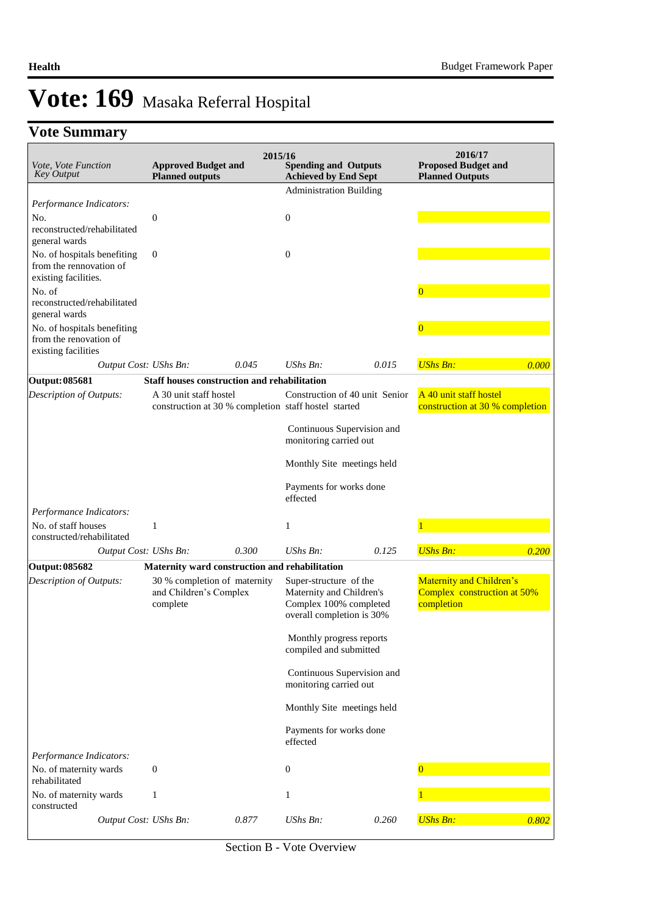# **Vote Summary**

|                                                                                |                                                                                | 2015/16 |                                                                                                           |       | 2016/17                                                               |       |
|--------------------------------------------------------------------------------|--------------------------------------------------------------------------------|---------|-----------------------------------------------------------------------------------------------------------|-------|-----------------------------------------------------------------------|-------|
| <i>Vote, Vote Function</i><br><b>Key Output</b>                                | <b>Approved Budget and</b><br><b>Planned outputs</b>                           |         | <b>Spending and Outputs</b><br><b>Achieved by End Sept</b>                                                |       | <b>Proposed Budget and</b><br><b>Planned Outputs</b>                  |       |
|                                                                                |                                                                                |         | <b>Administration Building</b>                                                                            |       |                                                                       |       |
| Performance Indicators:                                                        |                                                                                |         |                                                                                                           |       |                                                                       |       |
| No.<br>reconstructed/rehabilitated                                             | $\overline{0}$                                                                 |         | $\mathbf{0}$                                                                                              |       |                                                                       |       |
| general wards                                                                  |                                                                                |         |                                                                                                           |       |                                                                       |       |
| No. of hospitals benefiting<br>from the rennovation of<br>existing facilities. | $\boldsymbol{0}$                                                               |         | $\boldsymbol{0}$                                                                                          |       |                                                                       |       |
| No. of<br>reconstructed/rehabilitated                                          |                                                                                |         |                                                                                                           |       | $\overline{0}$                                                        |       |
| general wards                                                                  |                                                                                |         |                                                                                                           |       |                                                                       |       |
| No. of hospitals benefiting<br>from the renovation of<br>existing facilities   |                                                                                |         |                                                                                                           |       | $\overline{0}$                                                        |       |
| Output Cost: UShs Bn:                                                          |                                                                                | 0.045   | $UShs Bn$ :                                                                                               | 0.015 | <b>UShs Bn:</b>                                                       | 0.000 |
| <b>Output: 085681</b>                                                          | Staff houses construction and rehabilitation                                   |         |                                                                                                           |       |                                                                       |       |
| Description of Outputs:                                                        | A 30 unit staff hostel<br>construction at 30 % completion staff hostel started |         | Construction of 40 unit Senior                                                                            |       | A 40 unit staff hostel<br>construction at 30 % completion             |       |
|                                                                                |                                                                                |         | Continuous Supervision and<br>monitoring carried out                                                      |       |                                                                       |       |
|                                                                                |                                                                                |         | Monthly Site meetings held                                                                                |       |                                                                       |       |
|                                                                                |                                                                                |         | Payments for works done<br>effected                                                                       |       |                                                                       |       |
| Performance Indicators:                                                        |                                                                                |         |                                                                                                           |       |                                                                       |       |
| No. of staff houses<br>constructed/rehabilitated                               | 1                                                                              |         | 1                                                                                                         |       |                                                                       |       |
| Output Cost: UShs Bn:                                                          |                                                                                | 0.300   | $UShs Bn$ :                                                                                               | 0.125 | <b>UShs Bn:</b>                                                       | 0.200 |
| <b>Output: 085682</b>                                                          | Maternity ward construction and rehabilitation                                 |         |                                                                                                           |       |                                                                       |       |
| Description of Outputs:                                                        | 30 % completion of maternity<br>and Children's Complex<br>complete             |         | Super-structure of the<br>Maternity and Children's<br>Complex 100% completed<br>overall completion is 30% |       | Maternity and Children's<br>Complex construction at 50%<br>completion |       |
|                                                                                |                                                                                |         | Monthly progress reports<br>compiled and submitted                                                        |       |                                                                       |       |
|                                                                                |                                                                                |         | Continuous Supervision and<br>monitoring carried out                                                      |       |                                                                       |       |
|                                                                                |                                                                                |         | Monthly Site meetings held                                                                                |       |                                                                       |       |
|                                                                                |                                                                                |         | Payments for works done<br>effected                                                                       |       |                                                                       |       |
| Performance Indicators:<br>No. of maternity wards                              | $\boldsymbol{0}$                                                               |         | $\boldsymbol{0}$                                                                                          |       | $\overline{0}$                                                        |       |
| rehabilitated                                                                  |                                                                                |         |                                                                                                           |       |                                                                       |       |
| No. of maternity wards<br>constructed                                          | $\mathbf{1}$                                                                   |         | 1                                                                                                         |       |                                                                       |       |
| Output Cost: UShs Bn:                                                          |                                                                                | 0.877   | UShs Bn:                                                                                                  | 0.260 | <b>UShs Bn:</b>                                                       | 0.802 |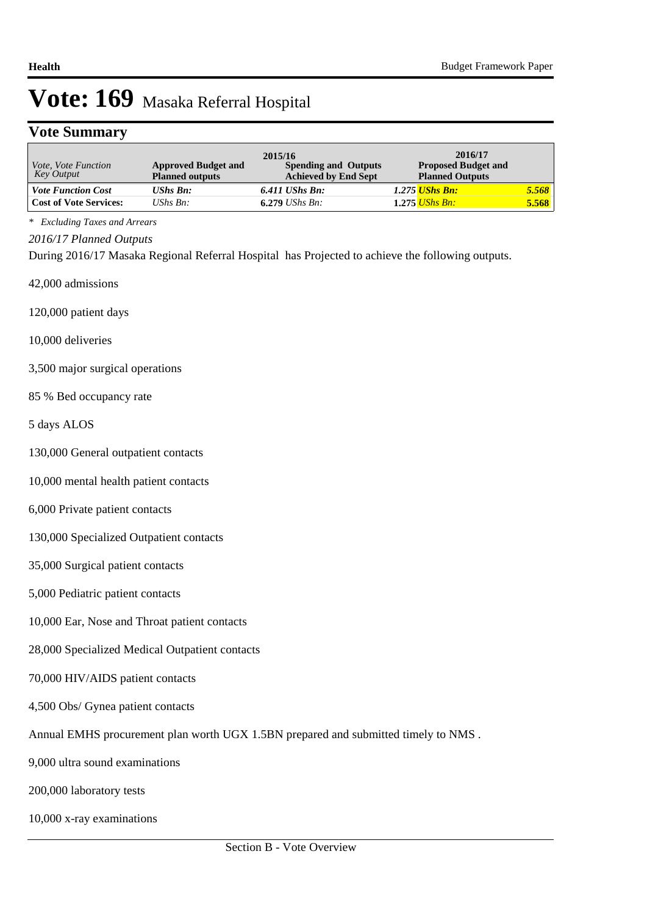### **Vote Summary**

| <i>Vote, Vote Function</i><br>Key Output | <b>Approved Budget and</b><br><b>Planned outputs</b> | 2015/16<br><b>Spending and Outputs</b><br><b>Achieved by End Sept</b> | 2016/17<br><b>Proposed Budget and</b><br><b>Planned Outputs</b> |       |
|------------------------------------------|------------------------------------------------------|-----------------------------------------------------------------------|-----------------------------------------------------------------|-------|
| <b>Vote Function Cost</b>                | <b>UShs Bn:</b>                                      | $6.411$ UShs Bn:                                                      | 1.275 <mark>UShs Bn:</mark>                                     | 5.568 |
| <b>Cost of Vote Services:</b>            | UShs $B_n$ :                                         | 6.279 <i>UShs Bn</i> :                                                | 1.275 UShs Bn:                                                  | 5.568 |

*\* Excluding Taxes and Arrears*

*2016/17 Planned Outputs*

During 2016/17 Masaka Regional Referral Hospital has Projected to achieve the following outputs.

42,000 admissions

120,000 patient days

10,000 deliveries

- 3,500 major surgical operations
- 85 % Bed occupancy rate

5 days ALOS

- 130,000 General outpatient contacts
- 10,000 mental health patient contacts
- 6,000 Private patient contacts

130,000 Specialized Outpatient contacts

- 35,000 Surgical patient contacts
- 5,000 Pediatric patient contacts
- 10,000 Ear, Nose and Throat patient contacts
- 28,000 Specialized Medical Outpatient contacts
- 70,000 HIV/AIDS patient contacts
- 4,500 Obs/ Gynea patient contacts
- Annual EMHS procurement plan worth UGX 1.5BN prepared and submitted timely to NMS .
- 9,000 ultra sound examinations
- 200,000 laboratory tests
- 10,000 x-ray examinations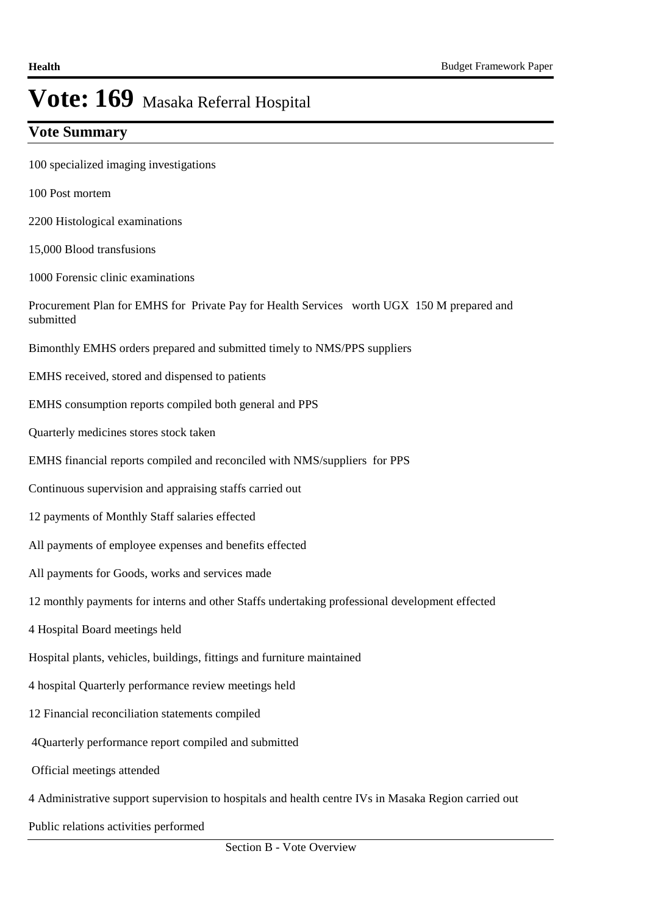# **Vote Summary**

- 100 specialized imaging investigations
- 100 Post mortem
- 2200 Histological examinations
- 15,000 Blood transfusions
- 1000 Forensic clinic examinations
- Procurement Plan for EMHS for Private Pay for Health Services worth UGX 150 M prepared and submitted
- Bimonthly EMHS orders prepared and submitted timely to NMS/PPS suppliers
- EMHS received, stored and dispensed to patients
- EMHS consumption reports compiled both general and PPS
- Quarterly medicines stores stock taken
- EMHS financial reports compiled and reconciled with NMS/suppliers for PPS
- Continuous supervision and appraising staffs carried out
- 12 payments of Monthly Staff salaries effected
- All payments of employee expenses and benefits effected
- All payments for Goods, works and services made
- 12 monthly payments for interns and other Staffs undertaking professional development effected
- 4 Hospital Board meetings held
- Hospital plants, vehicles, buildings, fittings and furniture maintained
- 4 hospital Quarterly performance review meetings held
- 12 Financial reconciliation statements compiled
- 4Quarterly performance report compiled and submitted
- Official meetings attended
- 4 Administrative support supervision to hospitals and health centre IVs in Masaka Region carried out
- Public relations activities performed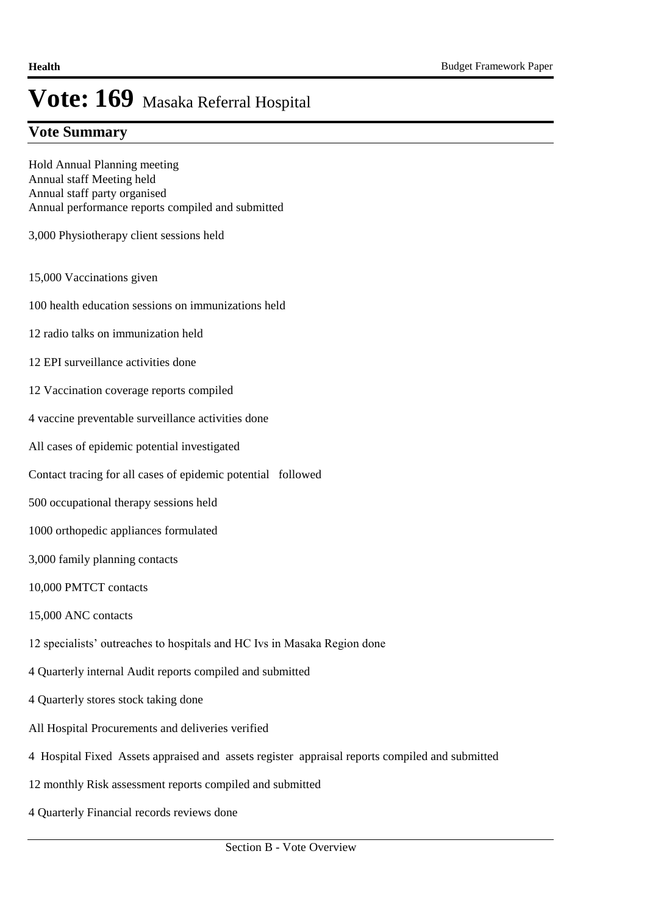### **Vote Summary**

Hold Annual Planning meeting Annual staff Meeting held Annual staff party organised Annual performance reports compiled and submitted

3,000 Physiotherapy client sessions held

- 15,000 Vaccinations given
- 100 health education sessions on immunizations held
- 12 radio talks on immunization held
- 12 EPI surveillance activities done
- 12 Vaccination coverage reports compiled
- 4 vaccine preventable surveillance activities done
- All cases of epidemic potential investigated
- Contact tracing for all cases of epidemic potential followed
- 500 occupational therapy sessions held
- 1000 orthopedic appliances formulated
- 3,000 family planning contacts
- 10,000 PMTCT contacts
- 15,000 ANC contacts
- 12 specialists' outreaches to hospitals and HC Ivs in Masaka Region done
- 4 Quarterly internal Audit reports compiled and submitted
- 4 Quarterly stores stock taking done
- All Hospital Procurements and deliveries verified
- 4 Hospital Fixed Assets appraised and assets register appraisal reports compiled and submitted
- 12 monthly Risk assessment reports compiled and submitted
- 4 Quarterly Financial records reviews done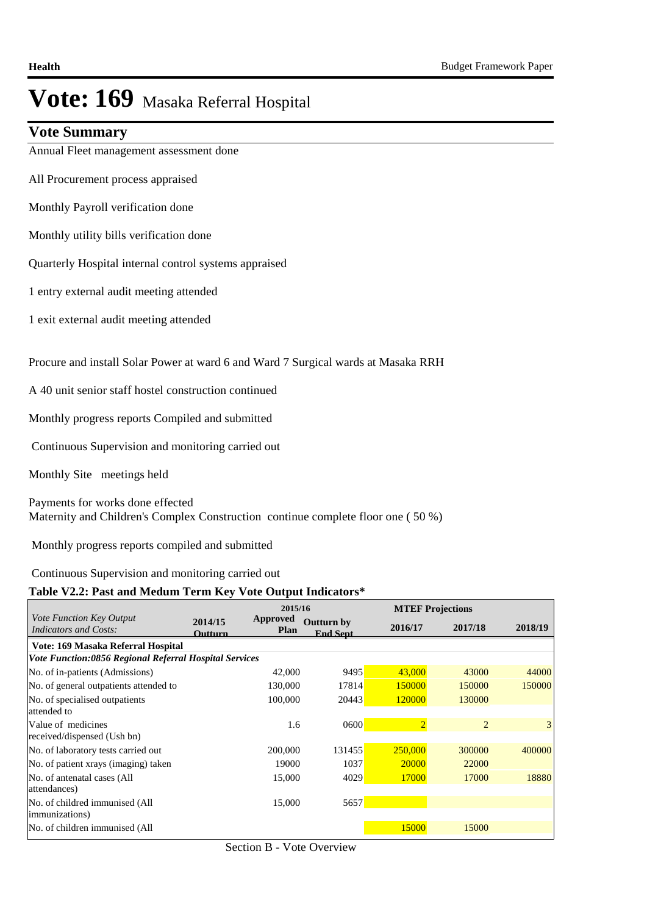### **Vote Summary**

Annual Fleet management assessment done

All Procurement process appraised

Monthly Payroll verification done

Monthly utility bills verification done

Quarterly Hospital internal control systems appraised

1 entry external audit meeting attended

1 exit external audit meeting attended

Procure and install Solar Power at ward 6 and Ward 7 Surgical wards at Masaka RRH

A 40 unit senior staff hostel construction continued

Monthly progress reports Compiled and submitted

Continuous Supervision and monitoring carried out

Monthly Site meetings held

Payments for works done effected Maternity and Children's Complex Construction continue complete floor one ( 50 %)

Monthly progress reports compiled and submitted

#### Continuous Supervision and monitoring carried out

#### **Table V2.2: Past and Medum Term Key Vote Output Indicators\***

|                                                          |                           | 2015/16                 |                                      | <b>MTEF Projections</b> |         |                |
|----------------------------------------------------------|---------------------------|-------------------------|--------------------------------------|-------------------------|---------|----------------|
| Vote Function Key Output<br><b>Indicators and Costs:</b> | 2014/15<br><b>Outturn</b> | Approved<br><b>Plan</b> | <b>Outturn by</b><br><b>End Sept</b> | 2016/17                 | 2017/18 | 2018/19        |
| Vote: 169 Masaka Referral Hospital                       |                           |                         |                                      |                         |         |                |
| Vote Function:0856 Regional Referral Hospital Services   |                           |                         |                                      |                         |         |                |
| No. of in-patients (Admissions)                          |                           | 42,000                  | 9495                                 | 43,000                  | 43000   | 44000          |
| No. of general outpatients attended to                   |                           | 130,000                 | 17814                                | 150000                  | 150000  | 150000         |
| No. of specialised outpatients                           |                           | 100,000                 | 20443                                | 120000                  | 130000  |                |
| attended to                                              |                           |                         |                                      |                         |         |                |
| Value of medicines                                       |                           | 1.6                     | 0600                                 | $\overline{2}$          | 2       | 3 <sup>1</sup> |
| received/dispensed (Ush bn)                              |                           |                         |                                      |                         |         |                |
| No. of laboratory tests carried out                      |                           | 200,000                 | 131455                               | 250,000                 | 300000  | 400000         |
| No. of patient xrays (imaging) taken                     |                           | 19000                   | 1037                                 | 20000                   | 22000   |                |
| No. of antenatal cases (All                              |                           | 15,000                  | 4029                                 | 17000                   | 17000   | 18880          |
| attendances)                                             |                           |                         |                                      |                         |         |                |
| No. of childred immunised (All                           |                           | 15,000                  | 5657                                 |                         |         |                |
| immunizations)                                           |                           |                         |                                      |                         |         |                |
| No. of children immunised (All                           |                           |                         |                                      | 15000                   | 15000   |                |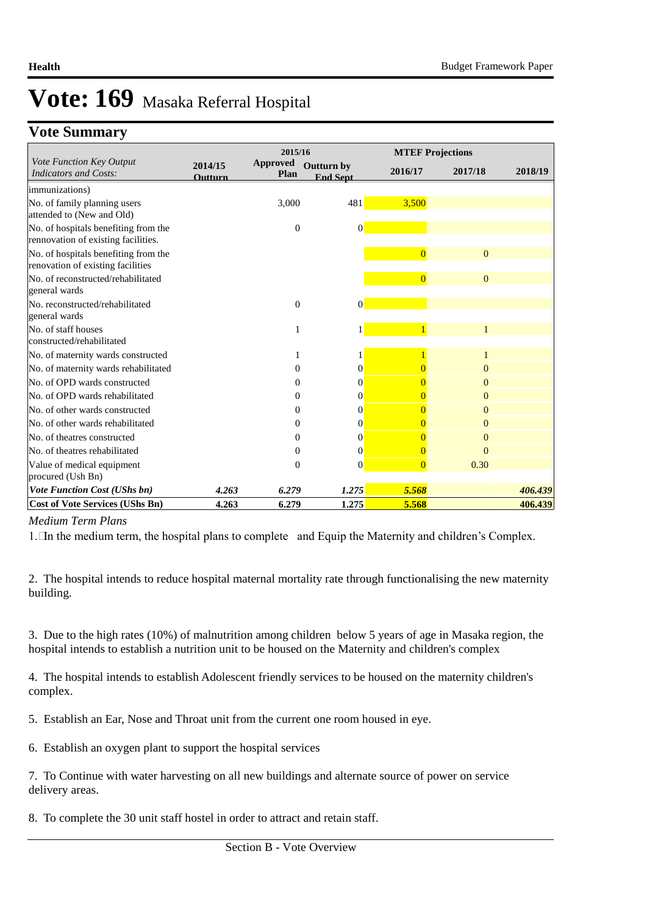# **Vote Summary**

|                                                                             |                    | 2015/16                 |                                      | <b>MTEF Projections</b> |                |         |
|-----------------------------------------------------------------------------|--------------------|-------------------------|--------------------------------------|-------------------------|----------------|---------|
| Vote Function Key Output<br><b>Indicators and Costs:</b>                    | 2014/15<br>Outturn | <b>Approved</b><br>Plan | <b>Outturn by</b><br><b>End Sept</b> | 2016/17                 | 2017/18        | 2018/19 |
| <i>immunizations</i> )                                                      |                    |                         |                                      |                         |                |         |
| No. of family planning users<br>attended to (New and Old)                   |                    | 3,000                   | 481                                  | 3,500                   |                |         |
| No. of hospitals benefiting from the<br>rennovation of existing facilities. |                    | $\mathbf{0}$            | $\Omega$                             |                         |                |         |
| No. of hospitals benefiting from the<br>renovation of existing facilities   |                    |                         |                                      | $\Omega$                | $\overline{0}$ |         |
| No. of reconstructed/rehabilitated<br>general wards                         |                    |                         |                                      | $\overline{0}$          | $\overline{0}$ |         |
| No. reconstructed/rehabilitated<br>general wards                            |                    | $\mathbf{0}$            | $\Omega$                             |                         |                |         |
| No. of staff houses<br>constructed/rehabilitated                            |                    |                         |                                      |                         |                |         |
| No. of maternity wards constructed                                          |                    |                         |                                      |                         |                |         |
| No. of maternity wards rehabilitated                                        |                    | 0                       | $\overline{0}$                       |                         | $\Omega$       |         |
| No. of OPD wards constructed                                                |                    | 0                       | 0                                    |                         | $\Omega$       |         |
| No. of OPD wards rehabilitated                                              |                    | 0                       | 0                                    | 0                       | $\Omega$       |         |
| No. of other wards constructed                                              |                    | 0                       | 0                                    |                         | $\Omega$       |         |
| No. of other wards rehabilitated                                            |                    | 0                       | 0                                    | $\overline{0}$          | $\Omega$       |         |
| No. of theatres constructed                                                 |                    | 0                       | $\overline{0}$                       | 0                       | $\Omega$       |         |
| No. of theatres rehabilitated                                               |                    | 0                       | $\Omega$                             | $\Omega$                | $\Omega$       |         |
| Value of medical equipment<br>procured (Ush Bn)                             |                    | 0                       | $\Omega$                             | $\overline{0}$          | 0.30           |         |
| <b>Vote Function Cost (UShs bn)</b>                                         | 4.263              | 6.279                   | 1.275                                | 5.568                   |                | 406.439 |
| <b>Cost of Vote Services (UShs Bn)</b>                                      | 4.263              | 6.279                   | 1.275                                | 5.568                   |                | 406.439 |

#### *Medium Term Plans*

1. In the medium term, the hospital plans to complete and Equip the Maternity and children's Complex.

2. The hospital intends to reduce hospital maternal mortality rate through functionalising the new maternity building.

3. Due to the high rates (10%) of malnutrition among children below 5 years of age in Masaka region, the hospital intends to establish a nutrition unit to be housed on the Maternity and children's complex

4. The hospital intends to establish Adolescent friendly services to be housed on the maternity children's complex.

5. Establish an Ear, Nose and Throat unit from the current one room housed in eye.

6. Establish an oxygen plant to support the hospital services

7. To Continue with water harvesting on all new buildings and alternate source of power on service delivery areas.

8. To complete the 30 unit staff hostel in order to attract and retain staff.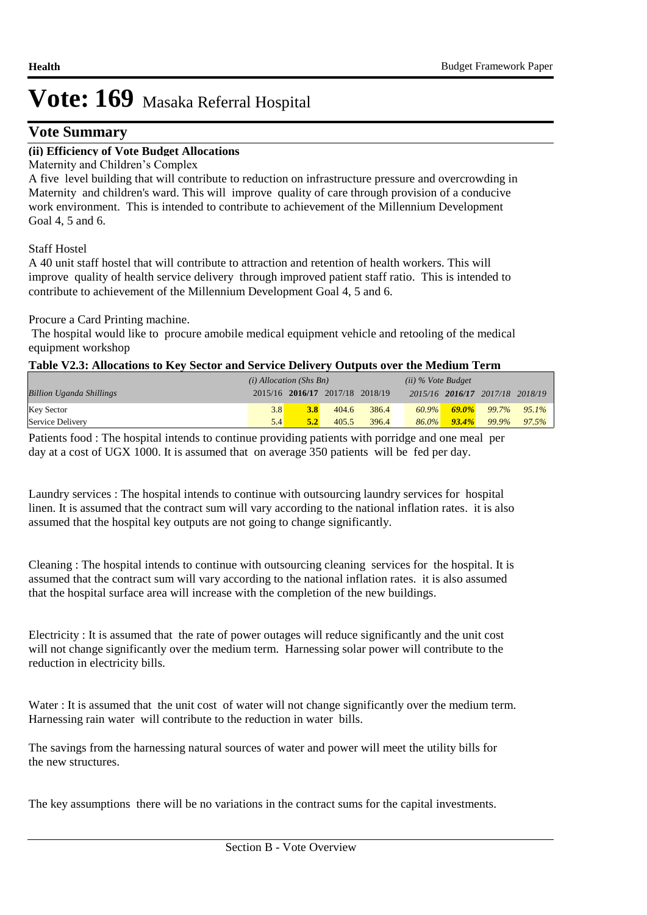# **Vote Summary**

### **(ii) Efficiency of Vote Budget Allocations**

Maternity and Children's Complex

A five level building that will contribute to reduction on infrastructure pressure and overcrowding in Maternity and children's ward. This will improve quality of care through provision of a conducive work environment. This is intended to contribute to achievement of the Millennium Development Goal 4, 5 and 6.

Staff Hostel

A 40 unit staff hostel that will contribute to attraction and retention of health workers. This will improve quality of health service delivery through improved patient staff ratio. This is intended to contribute to achievement of the Millennium Development Goal 4, 5 and 6.

Procure a Card Printing machine.

 The hospital would like to procure amobile medical equipment vehicle and retooling of the medical equipment workshop

|  | Table V2.3: Allocations to Key Sector and Service Delivery Outputs over the Medium Term |  |  |  |  |
|--|-----------------------------------------------------------------------------------------|--|--|--|--|
|  |                                                                                         |  |  |  |  |

|                                 | $(i)$ Allocation (Shs Bn) |                                 |       | $(ii)$ % Vote Budget |          |          |                                 |          |
|---------------------------------|---------------------------|---------------------------------|-------|----------------------|----------|----------|---------------------------------|----------|
| <b>Billion Uganda Shillings</b> |                           | 2015/16 2016/17 2017/18 2018/19 |       |                      |          |          | 2015/16 2016/17 2017/18 2018/19 |          |
| <b>Key Sector</b>               | 3.8                       |                                 | 404.6 | 386.4                |          |          | $\frac{60.9\%}{69.0\%}$ 99.7%   | $95.1\%$ |
| Service Delivery                | 5.4                       | 5.2                             | 405.5 | 396.4                | $86.0\%$ | $93.4\%$ | 99.9%                           | $97.5\%$ |

Patients food : The hospital intends to continue providing patients with porridge and one meal per day at a cost of UGX 1000. It is assumed that on average 350 patients will be fed per day.

Laundry services : The hospital intends to continue with outsourcing laundry services for hospital linen. It is assumed that the contract sum will vary according to the national inflation rates. it is also assumed that the hospital key outputs are not going to change significantly.

Cleaning : The hospital intends to continue with outsourcing cleaning services for the hospital. It is assumed that the contract sum will vary according to the national inflation rates. it is also assumed that the hospital surface area will increase with the completion of the new buildings.

Electricity : It is assumed that the rate of power outages will reduce significantly and the unit cost will not change significantly over the medium term. Harnessing solar power will contribute to the reduction in electricity bills.

Water : It is assumed that the unit cost of water will not change significantly over the medium term. Harnessing rain water will contribute to the reduction in water bills.

The savings from the harnessing natural sources of water and power will meet the utility bills for the new structures.

The key assumptions there will be no variations in the contract sums for the capital investments.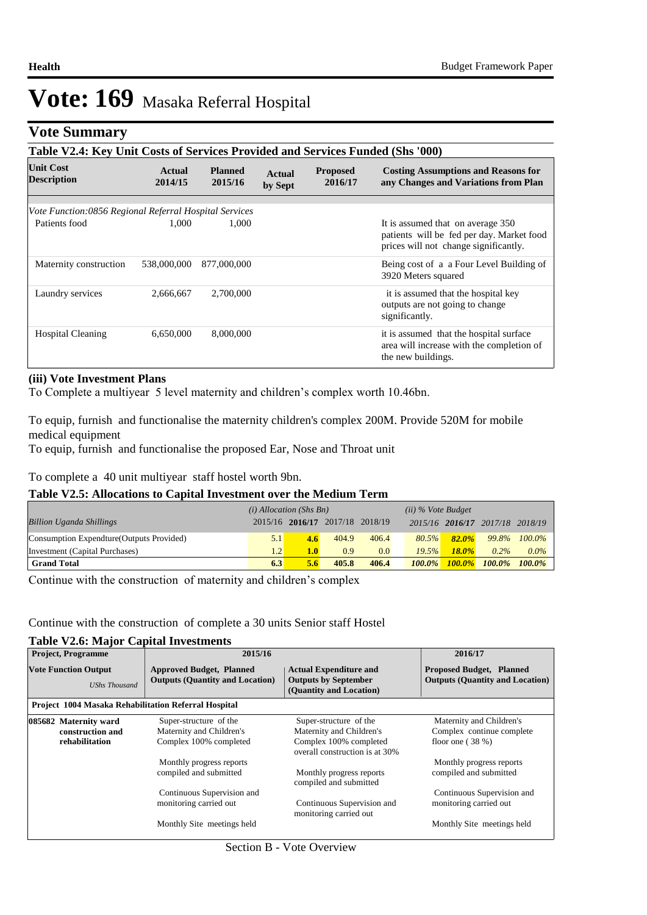# **Vote Summary**

| Table V2.4: Key Unit Costs of Services Provided and Services Funded (Shs '000) |                   |                           |                          |                            |                                                                                                                         |  |  |  |  |
|--------------------------------------------------------------------------------|-------------------|---------------------------|--------------------------|----------------------------|-------------------------------------------------------------------------------------------------------------------------|--|--|--|--|
| <b>Unit Cost</b><br><b>Description</b>                                         | Actual<br>2014/15 | <b>Planned</b><br>2015/16 | <b>Actual</b><br>by Sept | <b>Proposed</b><br>2016/17 | <b>Costing Assumptions and Reasons for</b><br>any Changes and Variations from Plan                                      |  |  |  |  |
|                                                                                |                   |                           |                          |                            |                                                                                                                         |  |  |  |  |
| Vote Function:0856 Regional Referral Hospital Services                         |                   |                           |                          |                            |                                                                                                                         |  |  |  |  |
| Patients food                                                                  | 1.000             | 1.000                     |                          |                            | It is assumed that on average 350<br>patients will be fed per day. Market food<br>prices will not change significantly. |  |  |  |  |
| Maternity construction                                                         | 538,000,000       | 877,000,000               |                          |                            | Being cost of a a Four Level Building of<br>3920 Meters squared                                                         |  |  |  |  |
| Laundry services                                                               | 2,666,667         | 2,700,000                 |                          |                            | it is assumed that the hospital key<br>outputs are not going to change<br>significantly.                                |  |  |  |  |
| <b>Hospital Cleaning</b>                                                       | 6,650,000         | 8,000,000                 |                          |                            | it is assumed that the hospital surface<br>area will increase with the completion of<br>the new buildings.              |  |  |  |  |

#### **(iii) Vote Investment Plans**

To Complete a multiyear 5 level maternity and children's complex worth 10.46bn.

To equip, furnish and functionalise the maternity children's complex 200M. Provide 520M for mobile medical equipment

To equip, furnish and functionalise the proposed Ear, Nose and Throat unit

To complete a 40 unit multiyear staff hostel worth 9bn.

#### **Table V2.5: Allocations to Capital Investment over the Medium Term**

|                                           | $(i)$ Allocation (Shs Bn) |     |                                 | $(ii)$ % Vote Budget |           |           |                                 |           |
|-------------------------------------------|---------------------------|-----|---------------------------------|----------------------|-----------|-----------|---------------------------------|-----------|
| <b>Billion Uganda Shillings</b>           |                           |     | 2015/16 2016/17 2017/18 2018/19 |                      |           |           | 2015/16 2016/17 2017/18 2018/19 |           |
| Consumption Expendture (Outputs Provided) | 5.1                       | 4.6 | 404.9                           | 406.4                | 80.5%     | $82.0\%$  | 99.8%                           | $100.0\%$ |
| Investment (Capital Purchases)            | 1.2 <sup>1</sup>          | 1.0 | 0.9                             | 0.0                  | 19.5%     | $18.0\%$  | $0.2\%$                         | $0.0\%$   |
| <b>Grand Total</b>                        | 6.3                       | 5.6 | 405.8                           | 406.4                | $100.0\%$ | $100.0\%$ | $100.0\%$                       | $100.0\%$ |

Continue with the construction of maternity and children's complex

#### Continue with the construction of complete a 30 units Senior staff Hostel

### **Table V2.6: Major Capital Investments**

| <b>Project, Programme</b>                                   | 2015/16                                                                   |                                                                                         | 2016/17                                                                   |
|-------------------------------------------------------------|---------------------------------------------------------------------------|-----------------------------------------------------------------------------------------|---------------------------------------------------------------------------|
| <b>Vote Function Output</b><br><b>UShs Thousand</b>         | <b>Approved Budget, Planned</b><br><b>Outputs (Quantity and Location)</b> | <b>Actual Expenditure and</b><br><b>Outputs by September</b><br>(Quantity and Location) | <b>Proposed Budget, Planned</b><br><b>Outputs (Quantity and Location)</b> |
| <b>Project 1004 Masaka Rehabilitation Referral Hospital</b> |                                                                           |                                                                                         |                                                                           |
| 085682 Maternity ward                                       | Super-structure of the                                                    | Super-structure of the                                                                  | Maternity and Children's                                                  |
| construction and                                            | Maternity and Children's                                                  | Maternity and Children's                                                                | Complex continue complete                                                 |
| rehabilitation                                              | Complex 100% completed                                                    | Complex 100% completed<br>overall construction is at 30%                                | floor one $(38%)$                                                         |
|                                                             | Monthly progress reports                                                  |                                                                                         | Monthly progress reports                                                  |
|                                                             | compiled and submitted                                                    | Monthly progress reports<br>compiled and submitted                                      | compiled and submitted                                                    |
|                                                             | Continuous Supervision and                                                |                                                                                         | Continuous Supervision and                                                |
|                                                             | monitoring carried out                                                    | Continuous Supervision and<br>monitoring carried out                                    | monitoring carried out                                                    |
|                                                             | Monthly Site meetings held                                                |                                                                                         | Monthly Site meetings held                                                |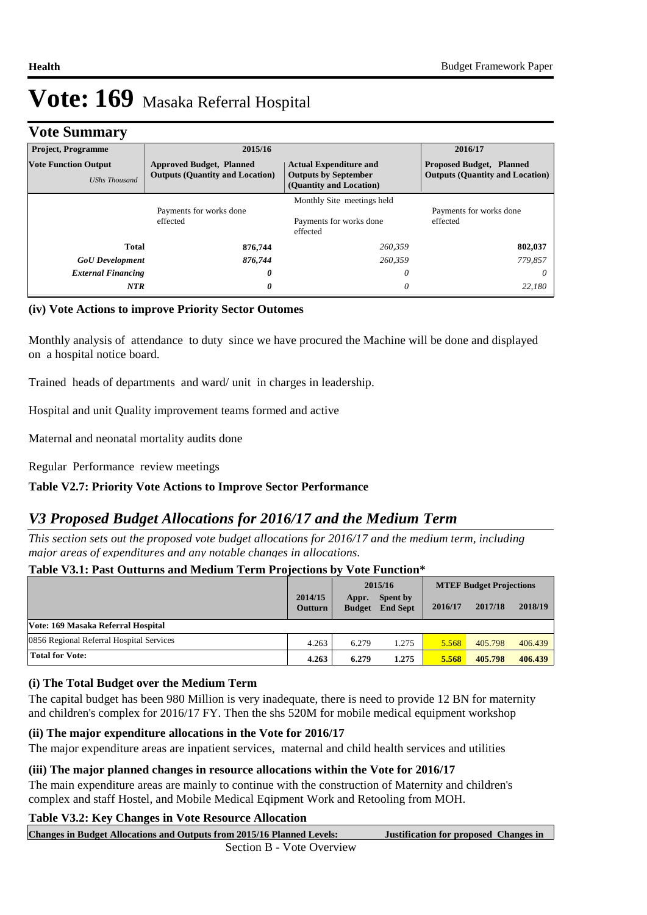# **Vote Summary**

| <b>Project, Programme</b>                           | 2015/16                                                                   |                                                                                                                                                                      | 2016/17                             |  |
|-----------------------------------------------------|---------------------------------------------------------------------------|----------------------------------------------------------------------------------------------------------------------------------------------------------------------|-------------------------------------|--|
| <b>Vote Function Output</b><br><b>UShs Thousand</b> | <b>Approved Budget, Planned</b><br><b>Outputs (Quantity and Location)</b> | <b>Actual Expenditure and</b><br><b>Proposed Budget, Planned</b><br><b>Outputs (Quantity and Location)</b><br><b>Outputs by September</b><br>(Quantity and Location) |                                     |  |
| Payments for works done<br>effected                 |                                                                           | Monthly Site meetings held<br>Payments for works done<br>effected                                                                                                    | Payments for works done<br>effected |  |
| <b>Total</b>                                        | 876,744                                                                   | 260,359                                                                                                                                                              | 802,037                             |  |
| <b>GoU</b> Development                              | 876,744                                                                   | 260,359                                                                                                                                                              | 779,857                             |  |
| <b>External Financing</b>                           | 0                                                                         | 0                                                                                                                                                                    | 0                                   |  |
| <b>NTR</b>                                          | 0                                                                         | 0                                                                                                                                                                    | 22.180                              |  |

### **(iv) Vote Actions to improve Priority Sector Outomes**

Monthly analysis of attendance to duty since we have procured the Machine will be done and displayed on a hospital notice board.

Trained heads of departments and ward/ unit in charges in leadership.

Hospital and unit Quality improvement teams formed and active

Maternal and neonatal mortality audits done

Regular Performance review meetings

### **Table V2.7: Priority Vote Actions to Improve Sector Performance**

# *V3 Proposed Budget Allocations for 2016/17 and the Medium Term*

*This section sets out the proposed vote budget allocations for 2016/17 and the medium term, including major areas of expenditures and any notable changes in allocations.* 

### **Table V3.1: Past Outturns and Medium Term Projections by Vote Function\***

|                                          | 2015/16                   |                        |                             | <b>MTEF Budget Projections</b> |         |         |
|------------------------------------------|---------------------------|------------------------|-----------------------------|--------------------------------|---------|---------|
|                                          | 2014/15<br><b>Outturn</b> | Appr.<br><b>Budget</b> | Spent by<br><b>End Sept</b> | 2016/17                        | 2017/18 | 2018/19 |
| Vote: 169 Masaka Referral Hospital       |                           |                        |                             |                                |         |         |
| 0856 Regional Referral Hospital Services | 4.263                     | 6.279                  | 1.275                       | 5.568                          | 405.798 | 406.439 |
| <b>Total for Vote:</b>                   | 4.263                     | 6.279                  | 1.275                       | 5.568                          | 405.798 | 406.439 |

#### **(i) The Total Budget over the Medium Term**

The capital budget has been 980 Million is very inadequate, there is need to provide 12 BN for maternity and children's complex for 2016/17 FY. Then the shs 520M for mobile medical equipment workshop

#### **(ii) The major expenditure allocations in the Vote for 2016/17**

The major expenditure areas are inpatient services, maternal and child health services and utilities

#### **(iii) The major planned changes in resource allocations within the Vote for 2016/17**

The main expenditure areas are mainly to continue with the construction of Maternity and children's complex and staff Hostel, and Mobile Medical Eqipment Work and Retooling from MOH.

### **Table V3.2: Key Changes in Vote Resource Allocation**

**Justification for proposed Changes in Changes in Budget Allocations and Outputs from 2015/16 Planned Levels:**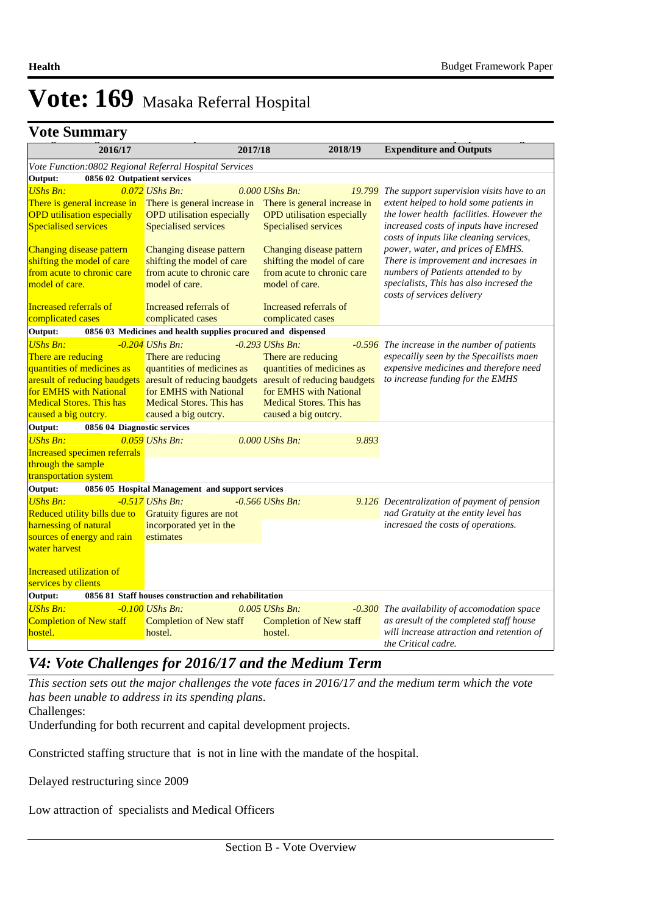# **Changes Summary**

| v uu dunniidi y                                        |                                                              |                                 |                                   |                                                                                    |  |  |
|--------------------------------------------------------|--------------------------------------------------------------|---------------------------------|-----------------------------------|------------------------------------------------------------------------------------|--|--|
| 2016/17                                                |                                                              | 2017/18                         | 2018/19                           | <b>Expenditure and Outputs</b>                                                     |  |  |
| Vote Function:0802 Regional Referral Hospital Services |                                                              |                                 |                                   |                                                                                    |  |  |
| 0856 02 Outpatient services<br>Output:                 |                                                              |                                 |                                   |                                                                                    |  |  |
| <b>UShs Bn:</b>                                        | $0.072$ UShs Bn:                                             | $0.000$ UShs Bn:                | 19.799                            | The support supervision visits have to an                                          |  |  |
| There is general increase in                           | There is general increase in                                 |                                 | There is general increase in      | extent helped to hold some patients in                                             |  |  |
| <b>OPD</b> utilisation especially                      | <b>OPD</b> utilisation especially                            |                                 | <b>OPD</b> utilisation especially | the lower health facilities. However the                                           |  |  |
| <b>Specialised services</b>                            | Specialised services                                         | Specialised services            |                                   | increased costs of inputs have incresed<br>costs of inputs like cleaning services, |  |  |
| Changing disease pattern                               | Changing disease pattern                                     | Changing disease pattern        |                                   | power, water, and prices of EMHS.                                                  |  |  |
| shifting the model of care                             | shifting the model of care                                   | shifting the model of care      |                                   | There is improvement and incresaes in                                              |  |  |
| from acute to chronic care                             | from acute to chronic care                                   |                                 | from acute to chronic care        | numbers of Patients attended to by                                                 |  |  |
| model of care.                                         | model of care.                                               | model of care.                  |                                   | specialists, This has also incresed the<br>costs of services delivery              |  |  |
| Increased referrals of                                 | Increased referrals of                                       | Increased referrals of          |                                   |                                                                                    |  |  |
| complicated cases                                      | complicated cases                                            | complicated cases               |                                   |                                                                                    |  |  |
| Output:                                                | 0856 03 Medicines and health supplies procured and dispensed |                                 |                                   |                                                                                    |  |  |
| <b>UShs Bn:</b>                                        | $-0.204$ UShs Bn:                                            | $-0.293$ UShs Bn:               |                                   | $-0.596$ The increase in the number of patients                                    |  |  |
| There are reducing                                     | There are reducing                                           | There are reducing              |                                   | especailly seen by the Specailists maen                                            |  |  |
| quantities of medicines as                             | quantities of medicines as                                   |                                 | quantities of medicines as        | expensive medicines and therefore need                                             |  |  |
| aresult of reducing baudgets                           | are sult of reducing baudgets                                |                                 | aresult of reducing baudgets      | to increase funding for the EMHS                                                   |  |  |
| for EMHS with National                                 | for EMHS with National                                       | for EMHS with National          |                                   |                                                                                    |  |  |
| <b>Medical Stores. This has</b>                        | <b>Medical Stores. This has</b>                              | <b>Medical Stores. This has</b> |                                   |                                                                                    |  |  |
| caused a big outcry.                                   | caused a big outcry.                                         | caused a big outcry.            |                                   |                                                                                    |  |  |
| Output:<br>0856 04 Diagnostic services                 |                                                              |                                 |                                   |                                                                                    |  |  |
| <b>UShs Bn:</b>                                        | $0.059$ UShs Bn:                                             | 0.000 UShs Bn:                  | 9.893                             |                                                                                    |  |  |
| <b>Increased specimen referrals</b>                    |                                                              |                                 |                                   |                                                                                    |  |  |
| through the sample                                     |                                                              |                                 |                                   |                                                                                    |  |  |
| transportation system                                  |                                                              |                                 |                                   |                                                                                    |  |  |
| Output:                                                | 0856 05 Hospital Management and support services             |                                 |                                   |                                                                                    |  |  |
| <b>UShs Bn:</b>                                        | $-0.517$ UShs Bn:                                            | $-0.566$ UShs Bn:               |                                   | 9.126 Decentralization of payment of pension                                       |  |  |
| Reduced utility bills due to                           | Gratuity figures are not                                     |                                 |                                   | nad Gratuity at the entity level has                                               |  |  |
| harnessing of natural                                  | incorporated yet in the                                      |                                 |                                   | incresaed the costs of operations.                                                 |  |  |
| sources of energy and rain                             | estimates                                                    |                                 |                                   |                                                                                    |  |  |
| water harvest                                          |                                                              |                                 |                                   |                                                                                    |  |  |
|                                                        |                                                              |                                 |                                   |                                                                                    |  |  |
| Increased utilization of                               |                                                              |                                 |                                   |                                                                                    |  |  |
| services by clients                                    |                                                              |                                 |                                   |                                                                                    |  |  |
| Output:                                                | 0856 81 Staff houses construction and rehabilitation         |                                 |                                   |                                                                                    |  |  |
| <b>UShs Bn:</b>                                        | $-0.100$ UShs Bn:                                            | $0.005$ UShs Bn:                | $-0.300$                          | The availability of accomodation space                                             |  |  |
| <b>Completion of New staff</b>                         | <b>Completion of New staff</b>                               | <b>Completion of New staff</b>  |                                   | as aresult of the completed staff house                                            |  |  |
| hostel.                                                | hostel.                                                      | hostel.                         |                                   | will increase attraction and retention of                                          |  |  |
|                                                        |                                                              |                                 |                                   | the Critical cadre.                                                                |  |  |

# *V4: Vote Challenges for 2016/17 and the Medium Term*

*This section sets out the major challenges the vote faces in 2016/17 and the medium term which the vote has been unable to address in its spending plans.*

Challenges:

Underfunding for both recurrent and capital development projects.

Constricted staffing structure that is not in line with the mandate of the hospital.

Delayed restructuring since 2009

Low attraction of specialists and Medical Officers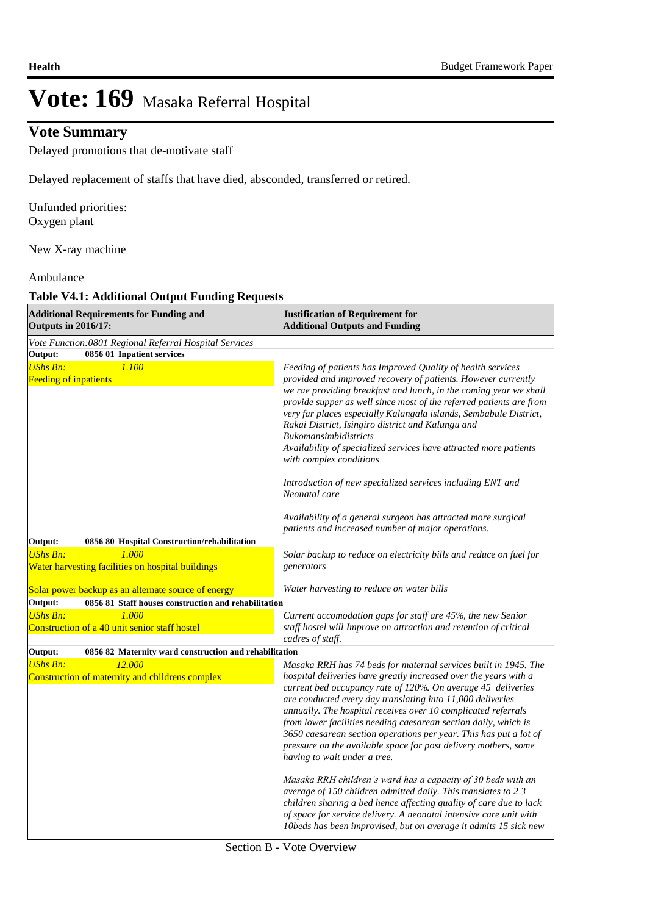# **Vote Summary**

Delayed promotions that de-motivate staff

Delayed replacement of staffs that have died, absconded, transferred or retired.

Unfunded priorities: Oxygen plant

New X-ray machine

#### Ambulance

#### **Table V4.1: Additional Output Funding Requests**

| <b>Additional Requirements for Funding and</b><br><b>Outputs in 2016/17:</b>                                                             | <b>Justification of Requirement for</b><br><b>Additional Outputs and Funding</b>                                                                                                                                                                                                                                                                                                                                                                                                                                                                                              |  |  |  |
|------------------------------------------------------------------------------------------------------------------------------------------|-------------------------------------------------------------------------------------------------------------------------------------------------------------------------------------------------------------------------------------------------------------------------------------------------------------------------------------------------------------------------------------------------------------------------------------------------------------------------------------------------------------------------------------------------------------------------------|--|--|--|
| Vote Function: 0801 Regional Referral Hospital Services                                                                                  |                                                                                                                                                                                                                                                                                                                                                                                                                                                                                                                                                                               |  |  |  |
| Output:<br>0856 01 Inpatient services<br><b>UShs Bn:</b><br>1.100<br><b>Feeding of inpatients</b>                                        | Feeding of patients has Improved Quality of health services<br>provided and improved recovery of patients. However currently<br>we rae providing breakfast and lunch, in the coming year we shall<br>provide supper as well since most of the referred patients are from<br>very far places especially Kalangala islands, Sembabule District,<br>Rakai District, Isingiro district and Kalungu and<br><b>Bukomansimbidistricts</b><br>Availability of specialized services have attracted more patients<br>with complex conditions                                            |  |  |  |
|                                                                                                                                          | Introduction of new specialized services including ENT and<br>Neonatal care                                                                                                                                                                                                                                                                                                                                                                                                                                                                                                   |  |  |  |
|                                                                                                                                          | Availability of a general surgeon has attracted more surgical<br>patients and increased number of major operations.                                                                                                                                                                                                                                                                                                                                                                                                                                                           |  |  |  |
| Output:<br>0856 80 Hospital Construction/rehabilitation<br><b>UShs Bn:</b><br>1.000<br>Water harvesting facilities on hospital buildings | Solar backup to reduce on electricity bills and reduce on fuel for<br>generators                                                                                                                                                                                                                                                                                                                                                                                                                                                                                              |  |  |  |
| Solar power backup as an alternate source of energy                                                                                      | Water harvesting to reduce on water bills                                                                                                                                                                                                                                                                                                                                                                                                                                                                                                                                     |  |  |  |
| Output:<br>0856 81 Staff houses construction and rehabilitation                                                                          |                                                                                                                                                                                                                                                                                                                                                                                                                                                                                                                                                                               |  |  |  |
| <b>UShs Bn:</b><br>1.000<br>Construction of a 40 unit senior staff hostel                                                                | Current accomodation gaps for staff are 45%, the new Senior<br>staff hostel will Improve on attraction and retention of critical<br>cadres of staff.                                                                                                                                                                                                                                                                                                                                                                                                                          |  |  |  |
| Output:<br>0856 82 Maternity ward construction and rehabilitation                                                                        |                                                                                                                                                                                                                                                                                                                                                                                                                                                                                                                                                                               |  |  |  |
| 12.000<br><b>UShs Bn:</b><br>Construction of maternity and childrens complex                                                             | Masaka RRH has 74 beds for maternal services built in 1945. The<br>hospital deliveries have greatly increased over the years with a<br>current bed occupancy rate of 120%. On average 45 deliveries<br>are conducted every day translating into 11,000 deliveries<br>annually. The hospital receives over 10 complicated referrals<br>from lower facilities needing caesarean section daily, which is<br>3650 caesarean section operations per year. This has put a lot of<br>pressure on the available space for post delivery mothers, some<br>having to wait under a tree. |  |  |  |
|                                                                                                                                          | Masaka RRH children's ward has a capacity of 30 beds with an<br>average of 150 children admitted daily. This translates to 2 3<br>children sharing a bed hence affecting quality of care due to lack<br>of space for service delivery. A neonatal intensive care unit with<br>10beds has been improvised, but on average it admits 15 sick new                                                                                                                                                                                                                                |  |  |  |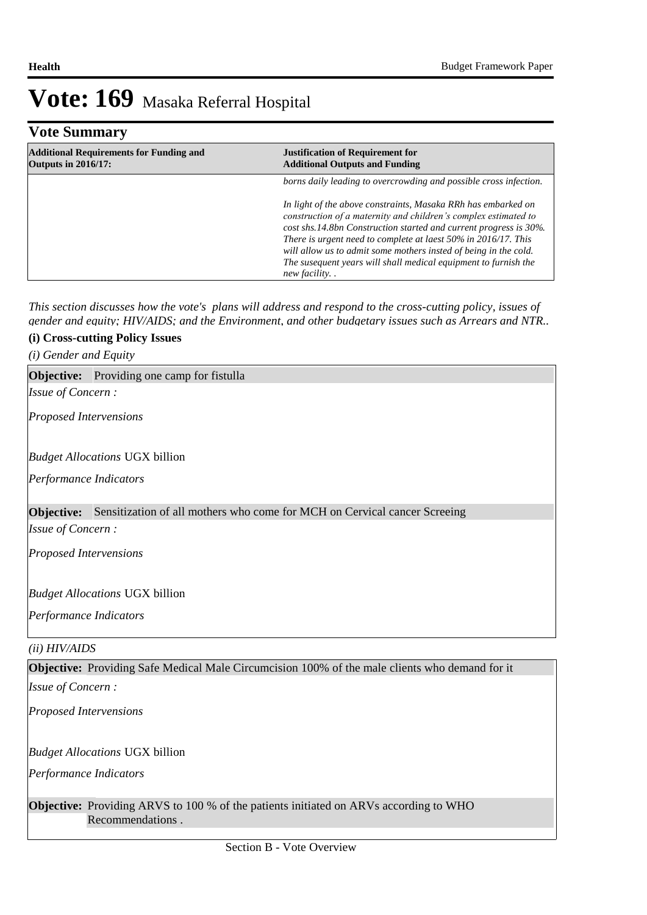| <b>Vote Summary</b>                                                          |                                                                                                                                                                                                                                                                                                                                                                                                                                |  |  |  |  |
|------------------------------------------------------------------------------|--------------------------------------------------------------------------------------------------------------------------------------------------------------------------------------------------------------------------------------------------------------------------------------------------------------------------------------------------------------------------------------------------------------------------------|--|--|--|--|
| <b>Additional Requirements for Funding and</b><br><b>Outputs in 2016/17:</b> | <b>Justification of Requirement for</b><br><b>Additional Outputs and Funding</b>                                                                                                                                                                                                                                                                                                                                               |  |  |  |  |
|                                                                              | borns daily leading to overcrowding and possible cross infection.                                                                                                                                                                                                                                                                                                                                                              |  |  |  |  |
|                                                                              | In light of the above constraints, Masaka RRh has embarked on<br>construction of a maternity and children's complex estimated to<br>cost shs.14.8bn Construction started and current progress is 30%.<br>There is urgent need to complete at laest 50% in 2016/17. This<br>will allow us to admit some mothers insted of being in the cold.<br>The susequent years will shall medical equipment to furnish the<br>new facility |  |  |  |  |

*This section discusses how the vote's plans will address and respond to the cross-cutting policy, issues of gender and equity; HIV/AIDS; and the Environment, and other budgetary issues such as Arrears and NTR..* 

### **(i) Cross-cutting Policy Issues**

*(i) Gender and Equity*

### **Objective:** Providing one camp for fistulla

*Issue of Concern :*

*Proposed Intervensions* 

*Budget Allocations*  UGX billion

*Performance Indicators*

#### **Objective:** Sensitization of all mothers who come for MCH on Cervical cancer Screeing

*Issue of Concern :*

*Proposed Intervensions* 

#### *Budget Allocations*  UGX billion

*Performance Indicators*

#### *(ii) HIV/AIDS*

#### **Objective:** Providing Safe Medical Male Circumcision 100% of the male clients who demand for it

*Issue of Concern :*

*Proposed Intervensions* 

#### *Budget Allocations*  UGX billion

*Performance Indicators*

**Objective:** Providing ARVS to 100 % of the patients initiated on ARVs according to WHO Recommendations .